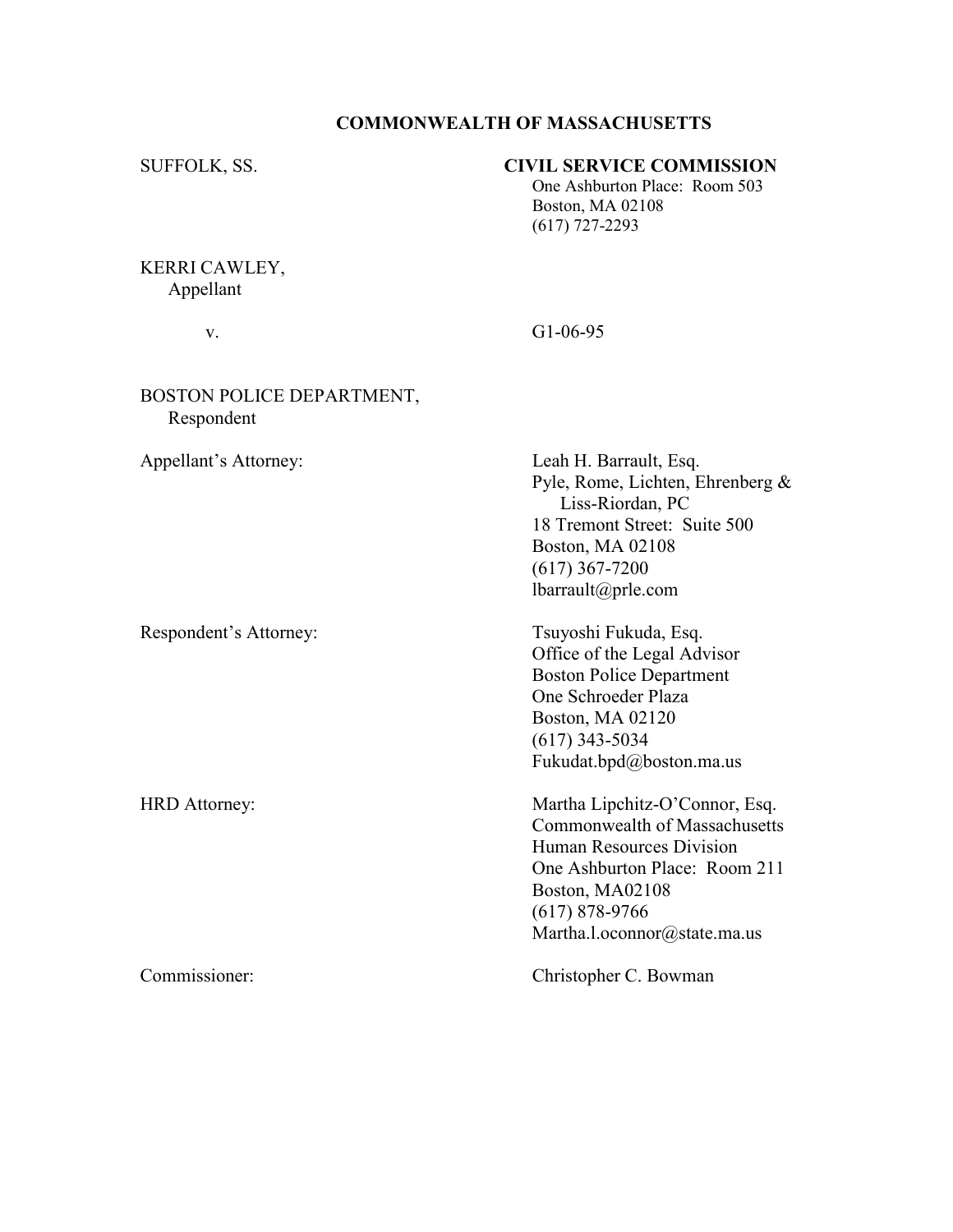## COMMONWEALTH OF MASSACHUSETTS

# SUFFOLK, SS. CIVIL SERVICE COMMISSION

 One Ashburton Place: Room 503 Boston, MA 02108 (617) 727-2293

# KERRI CAWLEY, Appellant

v. G1-06-95

## BOSTON POLICE DEPARTMENT, Respondent

Respondent's Attorney: Tsuyoshi Fukuda, Esq.

Appellant's Attorney: Leah H. Barrault, Esq. Pyle, Rome, Lichten, Ehrenberg & Liss-Riordan, PC 18 Tremont Street: Suite 500 Boston, MA 02108 (617) 367-7200 lbarrault@prle.com

> Office of the Legal Advisor Boston Police Department One Schroeder Plaza Boston, MA 02120 (617) 343-5034 Fukudat.bpd@boston.ma.us

HRD Attorney: Martha Lipchitz-O'Connor, Esq. Commonwealth of Massachusetts Human Resources Division One Ashburton Place: Room 211 Boston, MA02108 (617) 878-9766 Martha.l.oconnor@state.ma.us

Commissioner: Christopher C. Bowman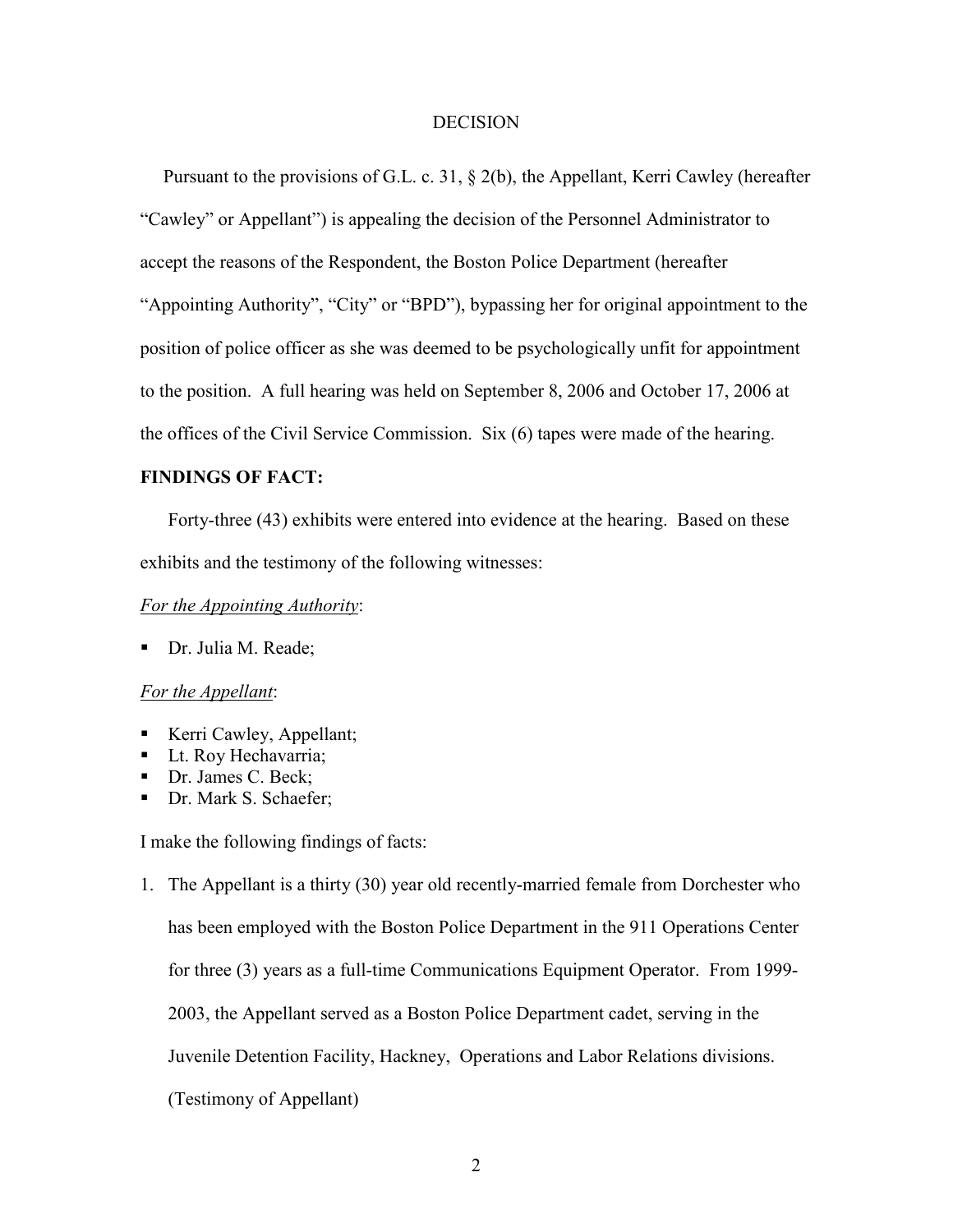#### **DECISION**

 Pursuant to the provisions of G.L. c. 31, § 2(b), the Appellant, Kerri Cawley (hereafter "Cawley" or Appellant") is appealing the decision of the Personnel Administrator to accept the reasons of the Respondent, the Boston Police Department (hereafter "Appointing Authority", "City" or "BPD"), bypassing her for original appointment to the position of police officer as she was deemed to be psychologically unfit for appointment to the position. A full hearing was held on September 8, 2006 and October 17, 2006 at the offices of the Civil Service Commission. Six (6) tapes were made of the hearing.

### FINDINGS OF FACT:

 Forty-three (43) exhibits were entered into evidence at the hearing. Based on these exhibits and the testimony of the following witnesses:

#### For the Appointing Authority:

Dr. Julia M. Reade;

### For the Appellant:

- Kerri Cawley, Appellant;
- Lt. Roy Hechavarria:
- Dr. James C. Beck;
- Dr. Mark S. Schaefer:

I make the following findings of facts:

1. The Appellant is a thirty (30) year old recently-married female from Dorchester who has been employed with the Boston Police Department in the 911 Operations Center for three (3) years as a full-time Communications Equipment Operator. From 1999- 2003, the Appellant served as a Boston Police Department cadet, serving in the Juvenile Detention Facility, Hackney, Operations and Labor Relations divisions. (Testimony of Appellant)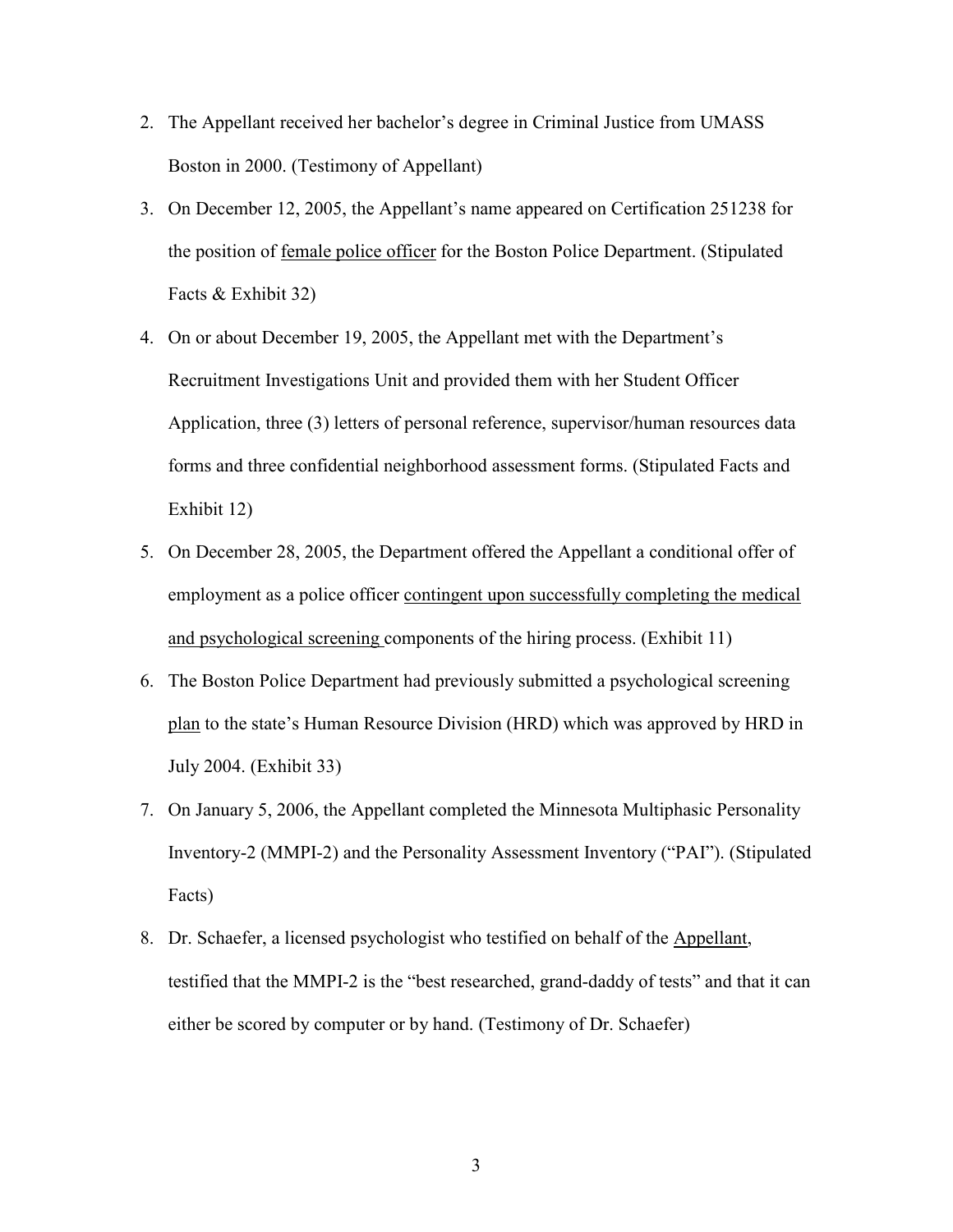- 2. The Appellant received her bachelor's degree in Criminal Justice from UMASS Boston in 2000. (Testimony of Appellant)
- 3. On December 12, 2005, the Appellant's name appeared on Certification 251238 for the position of female police officer for the Boston Police Department. (Stipulated Facts & Exhibit 32)
- 4. On or about December 19, 2005, the Appellant met with the Department's Recruitment Investigations Unit and provided them with her Student Officer Application, three (3) letters of personal reference, supervisor/human resources data forms and three confidential neighborhood assessment forms. (Stipulated Facts and Exhibit 12)
- 5. On December 28, 2005, the Department offered the Appellant a conditional offer of employment as a police officer contingent upon successfully completing the medical and psychological screening components of the hiring process. (Exhibit 11)
- 6. The Boston Police Department had previously submitted a psychological screening plan to the state's Human Resource Division (HRD) which was approved by HRD in July 2004. (Exhibit 33)
- 7. On January 5, 2006, the Appellant completed the Minnesota Multiphasic Personality Inventory-2 (MMPI-2) and the Personality Assessment Inventory ("PAI"). (Stipulated Facts)
- 8. Dr. Schaefer, a licensed psychologist who testified on behalf of the Appellant, testified that the MMPI-2 is the "best researched, grand-daddy of tests" and that it can either be scored by computer or by hand. (Testimony of Dr. Schaefer)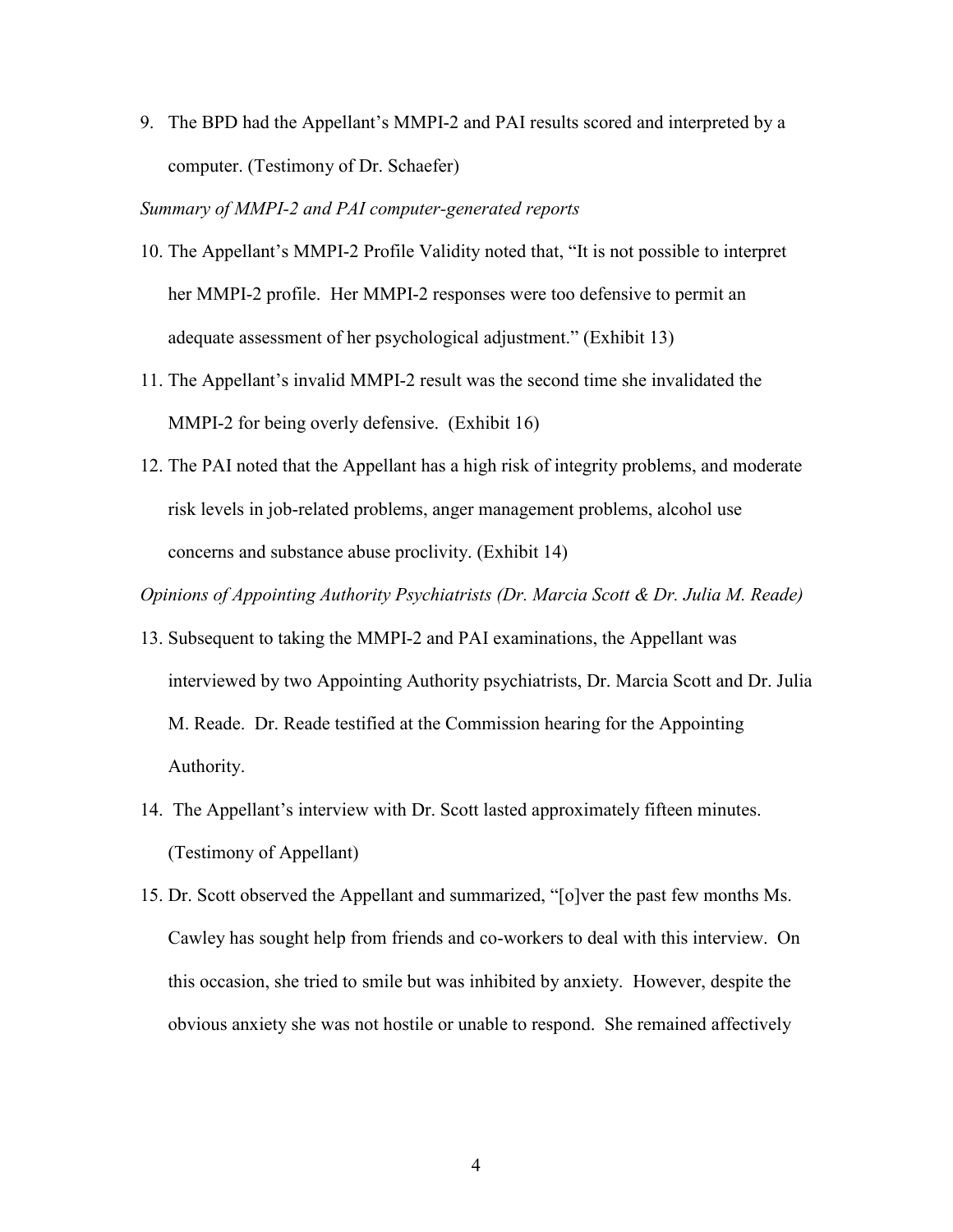9. The BPD had the Appellant's MMPI-2 and PAI results scored and interpreted by a computer. (Testimony of Dr. Schaefer)

### Summary of MMPI-2 and PAI computer-generated reports

- 10. The Appellant's MMPI-2 Profile Validity noted that, "It is not possible to interpret her MMPI-2 profile. Her MMPI-2 responses were too defensive to permit an adequate assessment of her psychological adjustment." (Exhibit 13)
- 11. The Appellant's invalid MMPI-2 result was the second time she invalidated the MMPI-2 for being overly defensive. (Exhibit 16)
- 12. The PAI noted that the Appellant has a high risk of integrity problems, and moderate risk levels in job-related problems, anger management problems, alcohol use concerns and substance abuse proclivity. (Exhibit 14)

Opinions of Appointing Authority Psychiatrists (Dr. Marcia Scott & Dr. Julia M. Reade)

- 13. Subsequent to taking the MMPI-2 and PAI examinations, the Appellant was interviewed by two Appointing Authority psychiatrists, Dr. Marcia Scott and Dr. Julia M. Reade. Dr. Reade testified at the Commission hearing for the Appointing Authority.
- 14. The Appellant's interview with Dr. Scott lasted approximately fifteen minutes. (Testimony of Appellant)
- 15. Dr. Scott observed the Appellant and summarized, "[o]ver the past few months Ms. Cawley has sought help from friends and co-workers to deal with this interview. On this occasion, she tried to smile but was inhibited by anxiety. However, despite the obvious anxiety she was not hostile or unable to respond. She remained affectively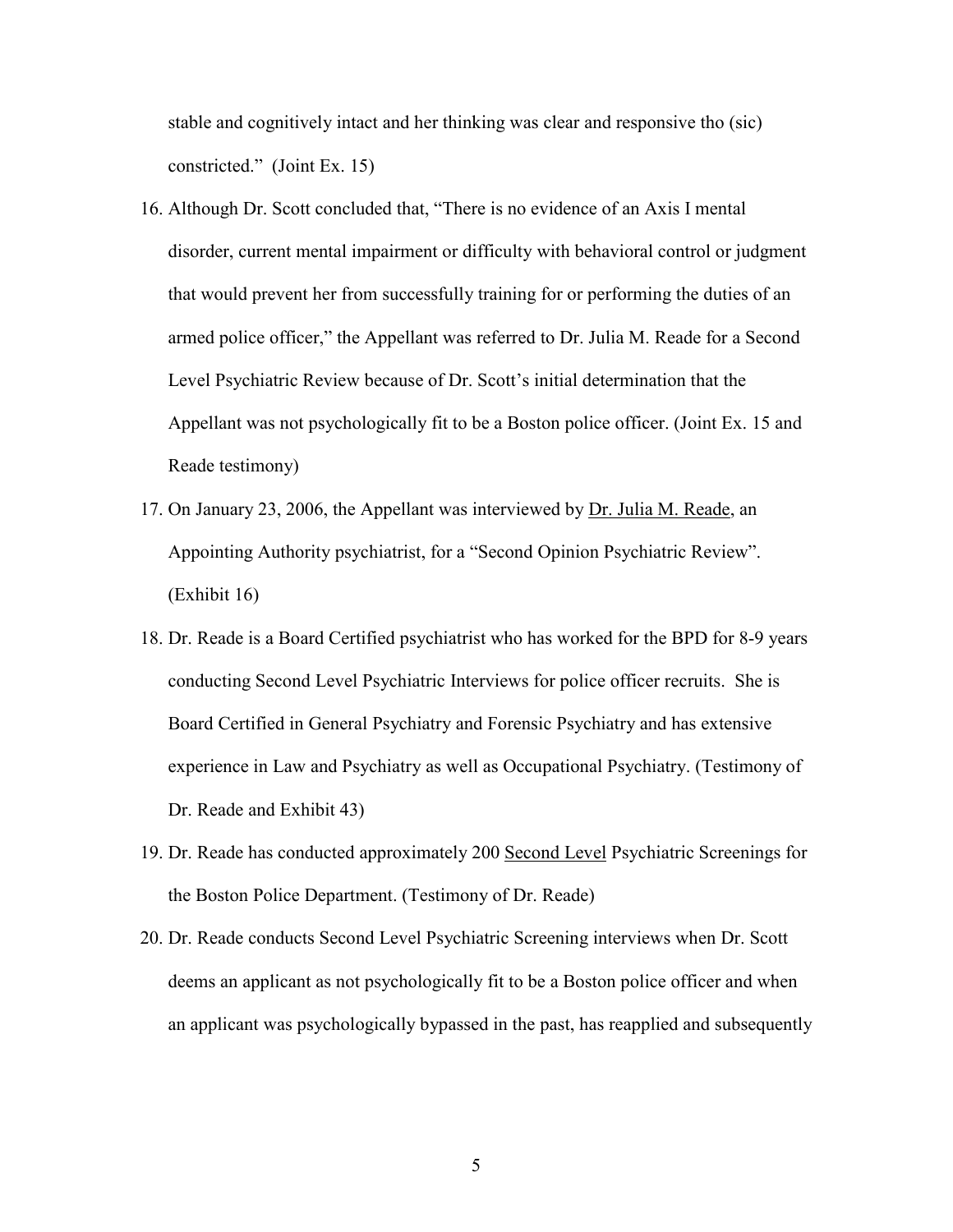stable and cognitively intact and her thinking was clear and responsive tho (sic) constricted." (Joint Ex. 15)

- 16. Although Dr. Scott concluded that, "There is no evidence of an Axis I mental disorder, current mental impairment or difficulty with behavioral control or judgment that would prevent her from successfully training for or performing the duties of an armed police officer," the Appellant was referred to Dr. Julia M. Reade for a Second Level Psychiatric Review because of Dr. Scott's initial determination that the Appellant was not psychologically fit to be a Boston police officer. (Joint Ex. 15 and Reade testimony)
- 17. On January 23, 2006, the Appellant was interviewed by Dr. Julia M. Reade, an Appointing Authority psychiatrist, for a "Second Opinion Psychiatric Review". (Exhibit 16)
- 18. Dr. Reade is a Board Certified psychiatrist who has worked for the BPD for 8-9 years conducting Second Level Psychiatric Interviews for police officer recruits. She is Board Certified in General Psychiatry and Forensic Psychiatry and has extensive experience in Law and Psychiatry as well as Occupational Psychiatry. (Testimony of Dr. Reade and Exhibit 43)
- 19. Dr. Reade has conducted approximately 200 Second Level Psychiatric Screenings for the Boston Police Department. (Testimony of Dr. Reade)
- 20. Dr. Reade conducts Second Level Psychiatric Screening interviews when Dr. Scott deems an applicant as not psychologically fit to be a Boston police officer and when an applicant was psychologically bypassed in the past, has reapplied and subsequently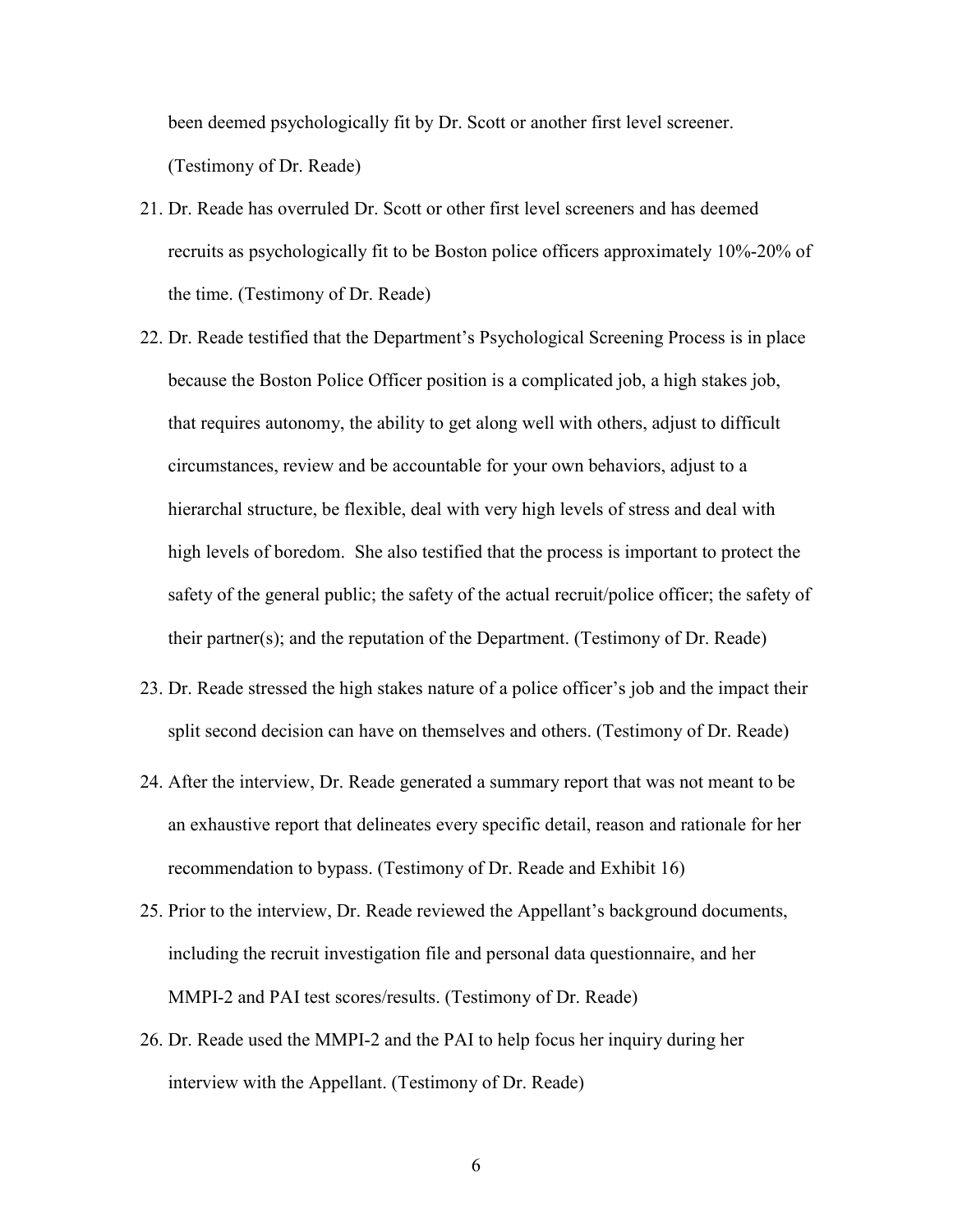been deemed psychologically fit by Dr. Scott or another first level screener. (Testimony of Dr. Reade)

- 21. Dr. Reade has overruled Dr. Scott or other first level screeners and has deemed recruits as psychologically fit to be Boston police officers approximately 10%-20% of the time. (Testimony of Dr. Reade)
- 22. Dr. Reade testified that the Department's Psychological Screening Process is in place because the Boston Police Officer position is a complicated job, a high stakes job, that requires autonomy, the ability to get along well with others, adjust to difficult circumstances, review and be accountable for your own behaviors, adjust to a hierarchal structure, be flexible, deal with very high levels of stress and deal with high levels of boredom. She also testified that the process is important to protect the safety of the general public; the safety of the actual recruit/police officer; the safety of their partner(s); and the reputation of the Department. (Testimony of Dr. Reade)
- 23. Dr. Reade stressed the high stakes nature of a police officer's job and the impact their split second decision can have on themselves and others. (Testimony of Dr. Reade)
- 24. After the interview, Dr. Reade generated a summary report that was not meant to be an exhaustive report that delineates every specific detail, reason and rationale for her recommendation to bypass. (Testimony of Dr. Reade and Exhibit 16)
- 25. Prior to the interview, Dr. Reade reviewed the Appellant's background documents, including the recruit investigation file and personal data questionnaire, and her MMPI-2 and PAI test scores/results. (Testimony of Dr. Reade)
- 26. Dr. Reade used the MMPI-2 and the PAI to help focus her inquiry during her interview with the Appellant. (Testimony of Dr. Reade)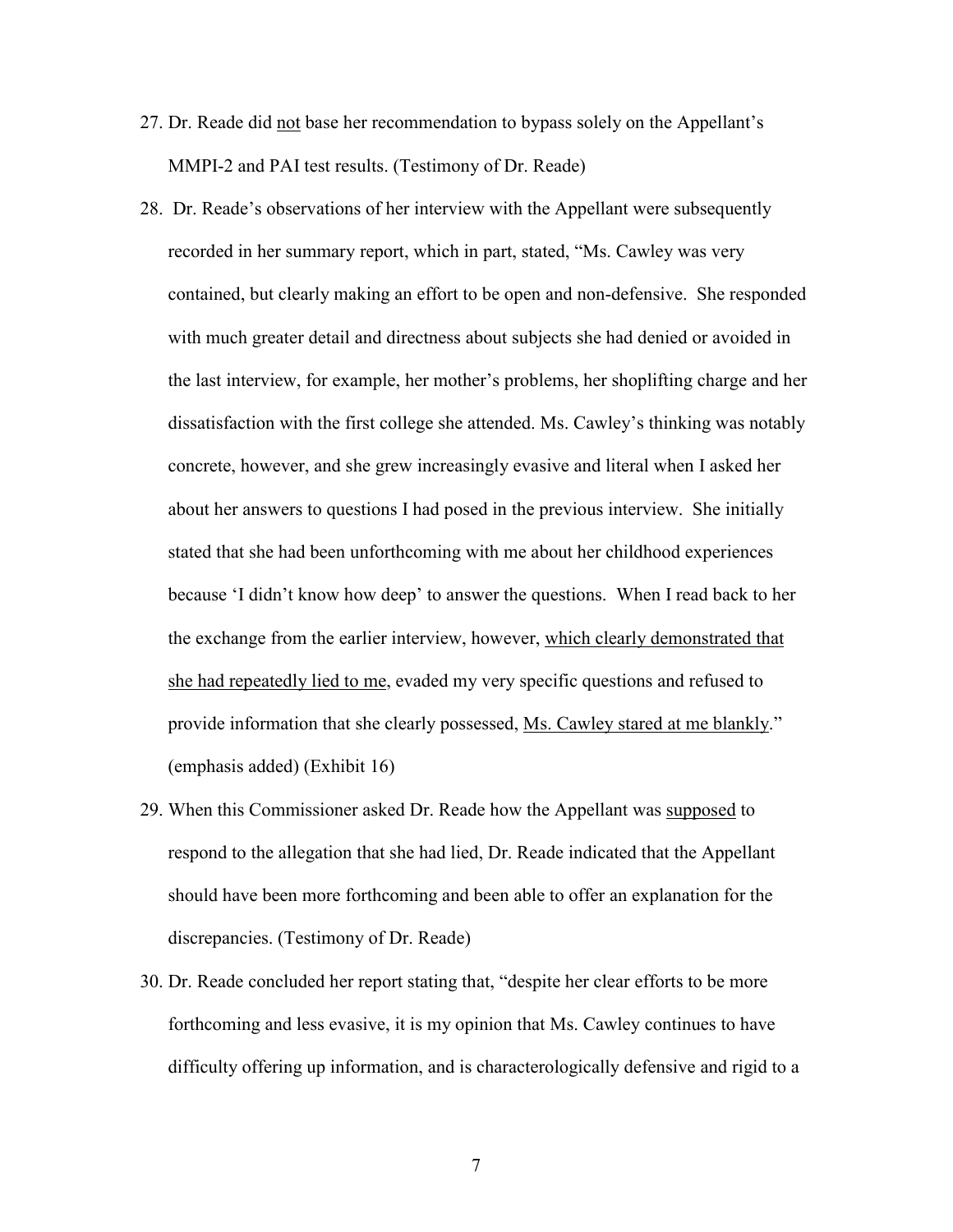- 27. Dr. Reade did not base her recommendation to bypass solely on the Appellant's MMPI-2 and PAI test results. (Testimony of Dr. Reade)
- 28. Dr. Reade's observations of her interview with the Appellant were subsequently recorded in her summary report, which in part, stated, "Ms. Cawley was very contained, but clearly making an effort to be open and non-defensive. She responded with much greater detail and directness about subjects she had denied or avoided in the last interview, for example, her mother's problems, her shoplifting charge and her dissatisfaction with the first college she attended. Ms. Cawley's thinking was notably concrete, however, and she grew increasingly evasive and literal when I asked her about her answers to questions I had posed in the previous interview. She initially stated that she had been unforthcoming with me about her childhood experiences because 'I didn't know how deep' to answer the questions. When I read back to her the exchange from the earlier interview, however, which clearly demonstrated that she had repeatedly lied to me, evaded my very specific questions and refused to provide information that she clearly possessed, Ms. Cawley stared at me blankly." (emphasis added) (Exhibit 16)
- 29. When this Commissioner asked Dr. Reade how the Appellant was supposed to respond to the allegation that she had lied, Dr. Reade indicated that the Appellant should have been more forthcoming and been able to offer an explanation for the discrepancies. (Testimony of Dr. Reade)
- 30. Dr. Reade concluded her report stating that, "despite her clear efforts to be more forthcoming and less evasive, it is my opinion that Ms. Cawley continues to have difficulty offering up information, and is characterologically defensive and rigid to a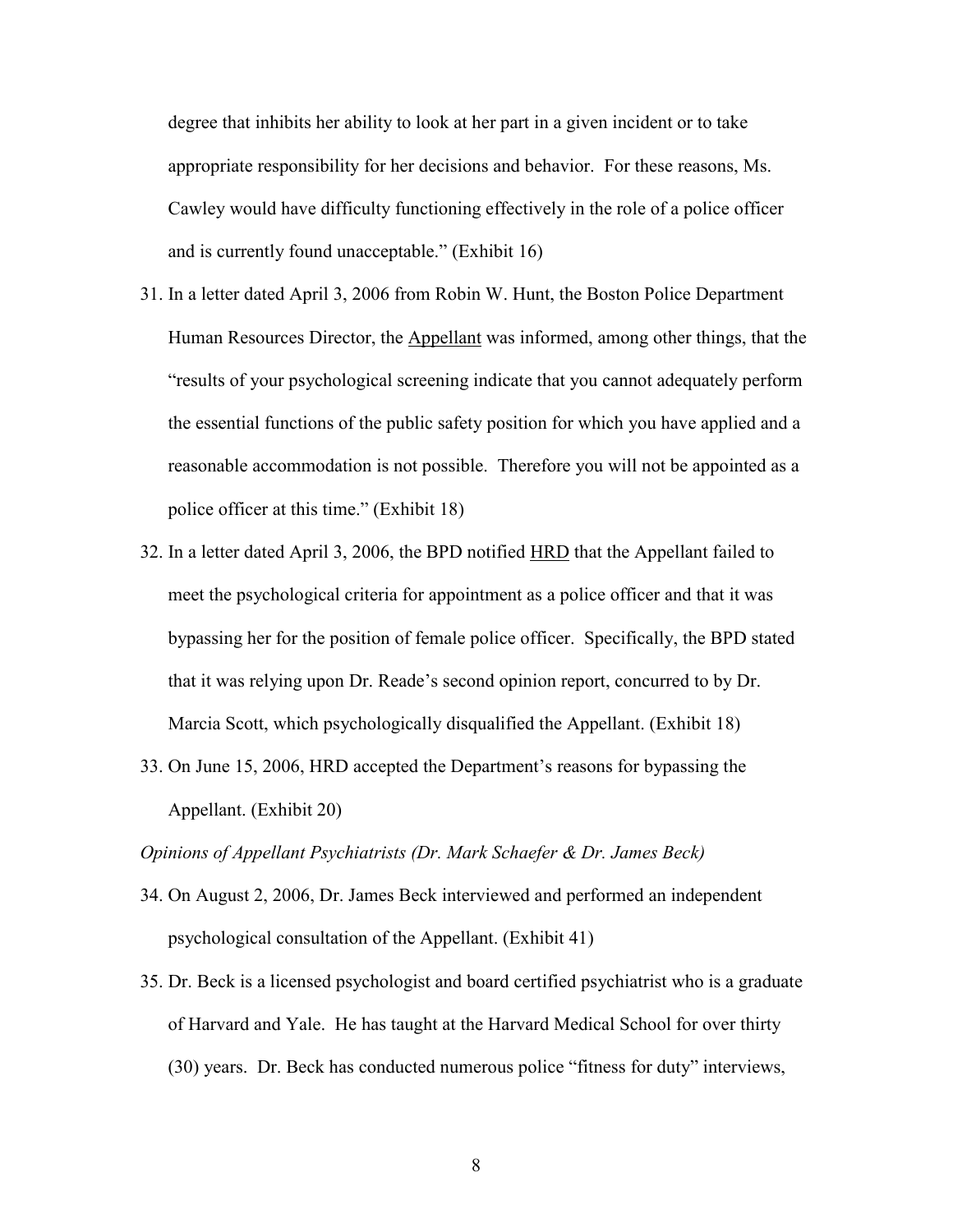degree that inhibits her ability to look at her part in a given incident or to take appropriate responsibility for her decisions and behavior. For these reasons, Ms. Cawley would have difficulty functioning effectively in the role of a police officer and is currently found unacceptable." (Exhibit 16)

- 31. In a letter dated April 3, 2006 from Robin W. Hunt, the Boston Police Department Human Resources Director, the Appellant was informed, among other things, that the "results of your psychological screening indicate that you cannot adequately perform the essential functions of the public safety position for which you have applied and a reasonable accommodation is not possible. Therefore you will not be appointed as a police officer at this time." (Exhibit 18)
- 32. In a letter dated April 3, 2006, the BPD notified HRD that the Appellant failed to meet the psychological criteria for appointment as a police officer and that it was bypassing her for the position of female police officer. Specifically, the BPD stated that it was relying upon Dr. Reade's second opinion report, concurred to by Dr. Marcia Scott, which psychologically disqualified the Appellant. (Exhibit 18)
- 33. On June 15, 2006, HRD accepted the Department's reasons for bypassing the Appellant. (Exhibit 20)

Opinions of Appellant Psychiatrists (Dr. Mark Schaefer & Dr. James Beck)

- 34. On August 2, 2006, Dr. James Beck interviewed and performed an independent psychological consultation of the Appellant. (Exhibit 41)
- 35. Dr. Beck is a licensed psychologist and board certified psychiatrist who is a graduate of Harvard and Yale. He has taught at the Harvard Medical School for over thirty (30) years. Dr. Beck has conducted numerous police "fitness for duty" interviews,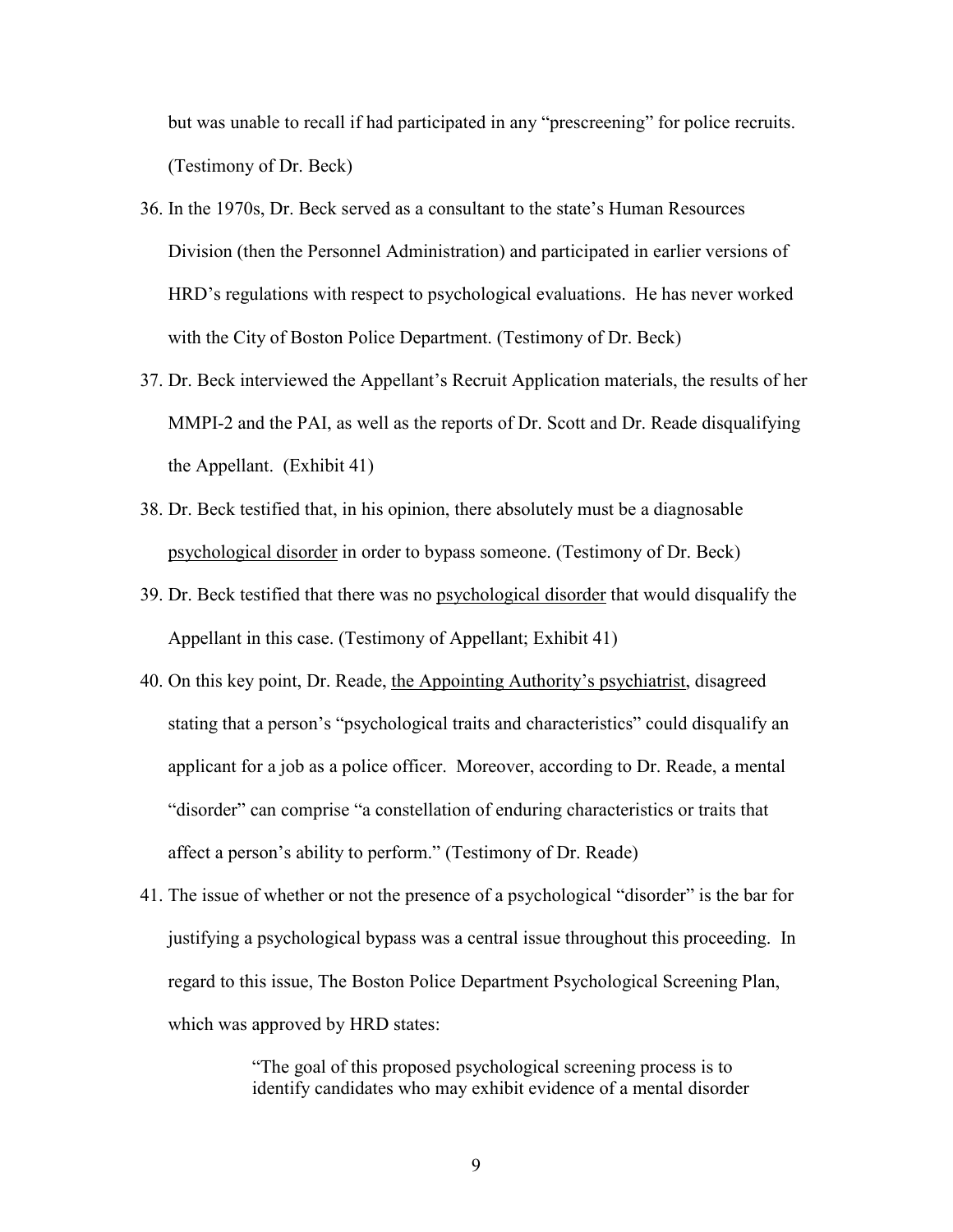but was unable to recall if had participated in any "prescreening" for police recruits. (Testimony of Dr. Beck)

- 36. In the 1970s, Dr. Beck served as a consultant to the state's Human Resources Division (then the Personnel Administration) and participated in earlier versions of HRD's regulations with respect to psychological evaluations. He has never worked with the City of Boston Police Department. (Testimony of Dr. Beck)
- 37. Dr. Beck interviewed the Appellant's Recruit Application materials, the results of her MMPI-2 and the PAI, as well as the reports of Dr. Scott and Dr. Reade disqualifying the Appellant. (Exhibit 41)
- 38. Dr. Beck testified that, in his opinion, there absolutely must be a diagnosable psychological disorder in order to bypass someone. (Testimony of Dr. Beck)
- 39. Dr. Beck testified that there was no psychological disorder that would disqualify the Appellant in this case. (Testimony of Appellant; Exhibit 41)
- 40. On this key point, Dr. Reade, the Appointing Authority's psychiatrist, disagreed stating that a person's "psychological traits and characteristics" could disqualify an applicant for a job as a police officer. Moreover, according to Dr. Reade, a mental "disorder" can comprise "a constellation of enduring characteristics or traits that affect a person's ability to perform." (Testimony of Dr. Reade)
- 41. The issue of whether or not the presence of a psychological "disorder" is the bar for justifying a psychological bypass was a central issue throughout this proceeding. In regard to this issue, The Boston Police Department Psychological Screening Plan, which was approved by HRD states:

"The goal of this proposed psychological screening process is to identify candidates who may exhibit evidence of a mental disorder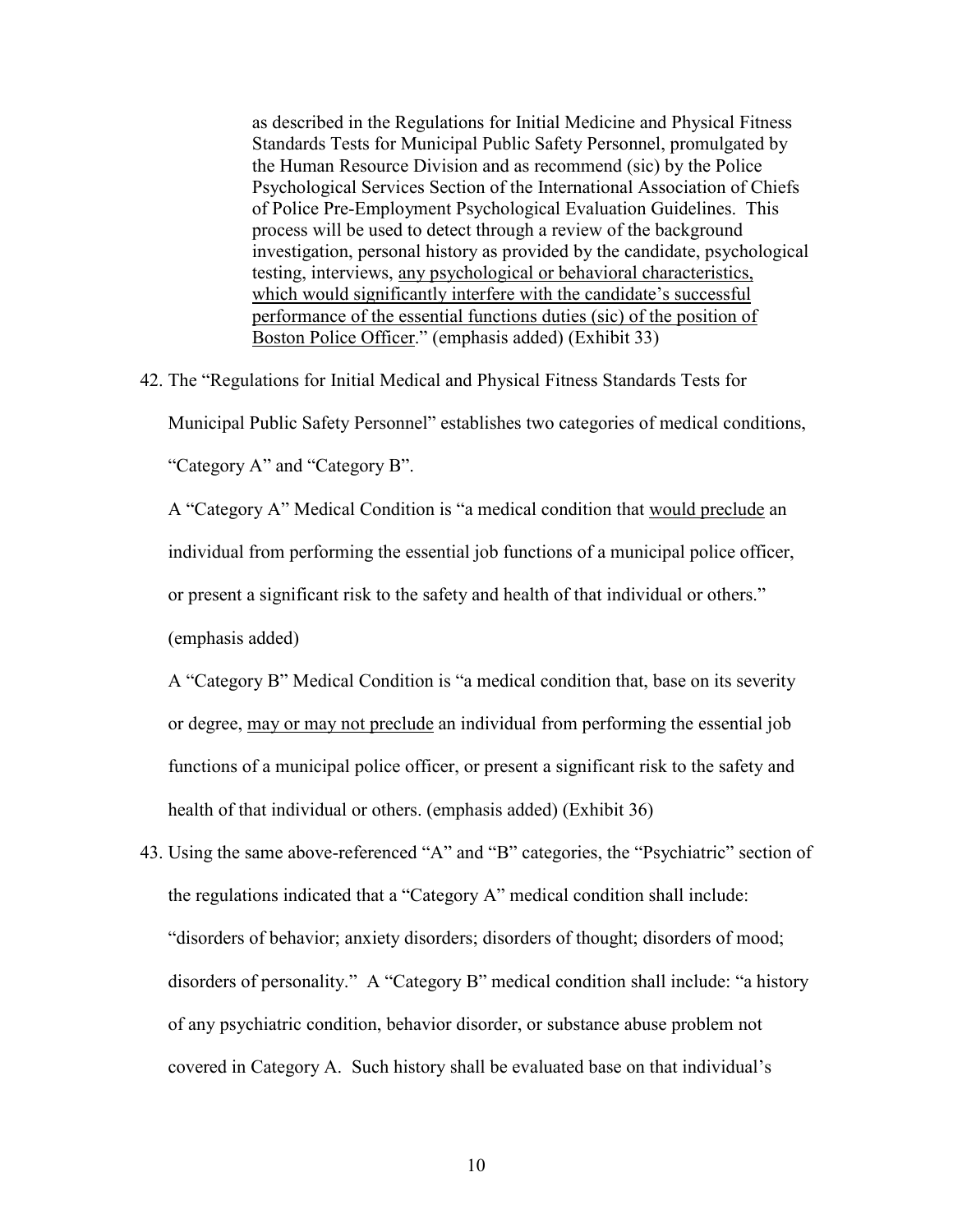as described in the Regulations for Initial Medicine and Physical Fitness Standards Tests for Municipal Public Safety Personnel, promulgated by the Human Resource Division and as recommend (sic) by the Police Psychological Services Section of the International Association of Chiefs of Police Pre-Employment Psychological Evaluation Guidelines. This process will be used to detect through a review of the background investigation, personal history as provided by the candidate, psychological testing, interviews, any psychological or behavioral characteristics, which would significantly interfere with the candidate's successful performance of the essential functions duties (sic) of the position of Boston Police Officer." (emphasis added) (Exhibit 33)

42. The "Regulations for Initial Medical and Physical Fitness Standards Tests for

Municipal Public Safety Personnel" establishes two categories of medical conditions,

"Category A" and "Category B".

A "Category A" Medical Condition is "a medical condition that would preclude an individual from performing the essential job functions of a municipal police officer, or present a significant risk to the safety and health of that individual or others." (emphasis added)

A "Category B" Medical Condition is "a medical condition that, base on its severity or degree, may or may not preclude an individual from performing the essential job functions of a municipal police officer, or present a significant risk to the safety and health of that individual or others. (emphasis added) (Exhibit 36)

43. Using the same above-referenced "A" and "B" categories, the "Psychiatric" section of the regulations indicated that a "Category A" medical condition shall include: "disorders of behavior; anxiety disorders; disorders of thought; disorders of mood; disorders of personality." A "Category B" medical condition shall include: "a history of any psychiatric condition, behavior disorder, or substance abuse problem not covered in Category A. Such history shall be evaluated base on that individual's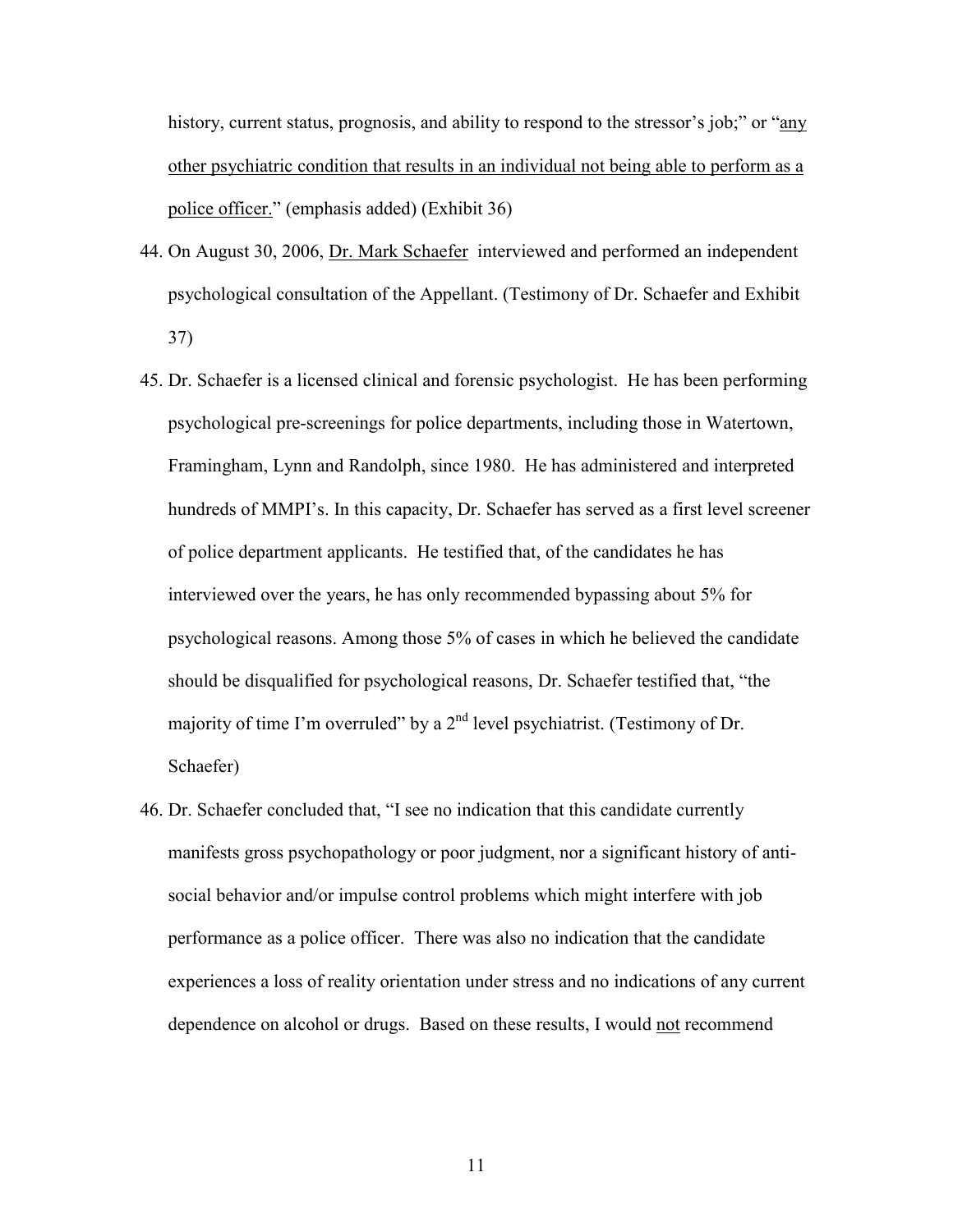history, current status, prognosis, and ability to respond to the stressor's job;" or "any other psychiatric condition that results in an individual not being able to perform as a police officer." (emphasis added) (Exhibit 36)

- 44. On August 30, 2006, Dr. Mark Schaefer interviewed and performed an independent psychological consultation of the Appellant. (Testimony of Dr. Schaefer and Exhibit 37)
- 45. Dr. Schaefer is a licensed clinical and forensic psychologist. He has been performing psychological pre-screenings for police departments, including those in Watertown, Framingham, Lynn and Randolph, since 1980. He has administered and interpreted hundreds of MMPI's. In this capacity, Dr. Schaefer has served as a first level screener of police department applicants. He testified that, of the candidates he has interviewed over the years, he has only recommended bypassing about 5% for psychological reasons. Among those 5% of cases in which he believed the candidate should be disqualified for psychological reasons, Dr. Schaefer testified that, "the majority of time I'm overruled" by a  $2<sup>nd</sup>$  level psychiatrist. (Testimony of Dr. Schaefer)
- 46. Dr. Schaefer concluded that, "I see no indication that this candidate currently manifests gross psychopathology or poor judgment, nor a significant history of antisocial behavior and/or impulse control problems which might interfere with job performance as a police officer. There was also no indication that the candidate experiences a loss of reality orientation under stress and no indications of any current dependence on alcohol or drugs. Based on these results, I would not recommend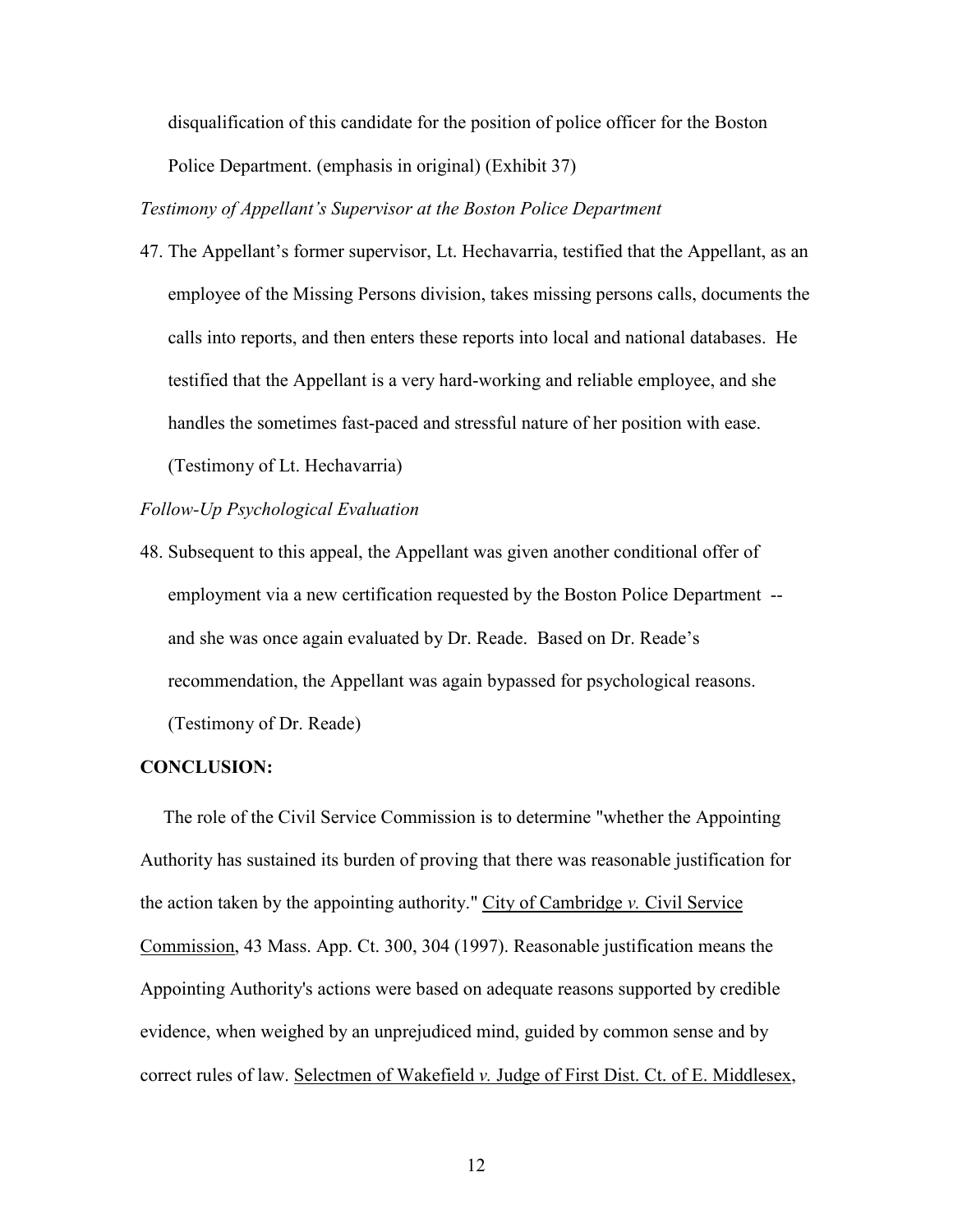disqualification of this candidate for the position of police officer for the Boston Police Department. (emphasis in original) (Exhibit 37)

Testimony of Appellant's Supervisor at the Boston Police Department

47. The Appellant's former supervisor, Lt. Hechavarria, testified that the Appellant, as an employee of the Missing Persons division, takes missing persons calls, documents the calls into reports, and then enters these reports into local and national databases. He testified that the Appellant is a very hard-working and reliable employee, and she handles the sometimes fast-paced and stressful nature of her position with ease. (Testimony of Lt. Hechavarria)

#### Follow-Up Psychological Evaluation

48. Subsequent to this appeal, the Appellant was given another conditional offer of employment via a new certification requested by the Boston Police Department - and she was once again evaluated by Dr. Reade. Based on Dr. Reade's recommendation, the Appellant was again bypassed for psychological reasons. (Testimony of Dr. Reade)

#### CONCLUSION:

 The role of the Civil Service Commission is to determine "whether the Appointing Authority has sustained its burden of proving that there was reasonable justification for the action taken by the appointing authority." City of Cambridge  $v$ . Civil Service Commission, 43 Mass. App. Ct. 300, 304 (1997). Reasonable justification means the Appointing Authority's actions were based on adequate reasons supported by credible evidence, when weighed by an unprejudiced mind, guided by common sense and by correct rules of law. Selectmen of Wakefield v. Judge of First Dist. Ct. of E. Middlesex,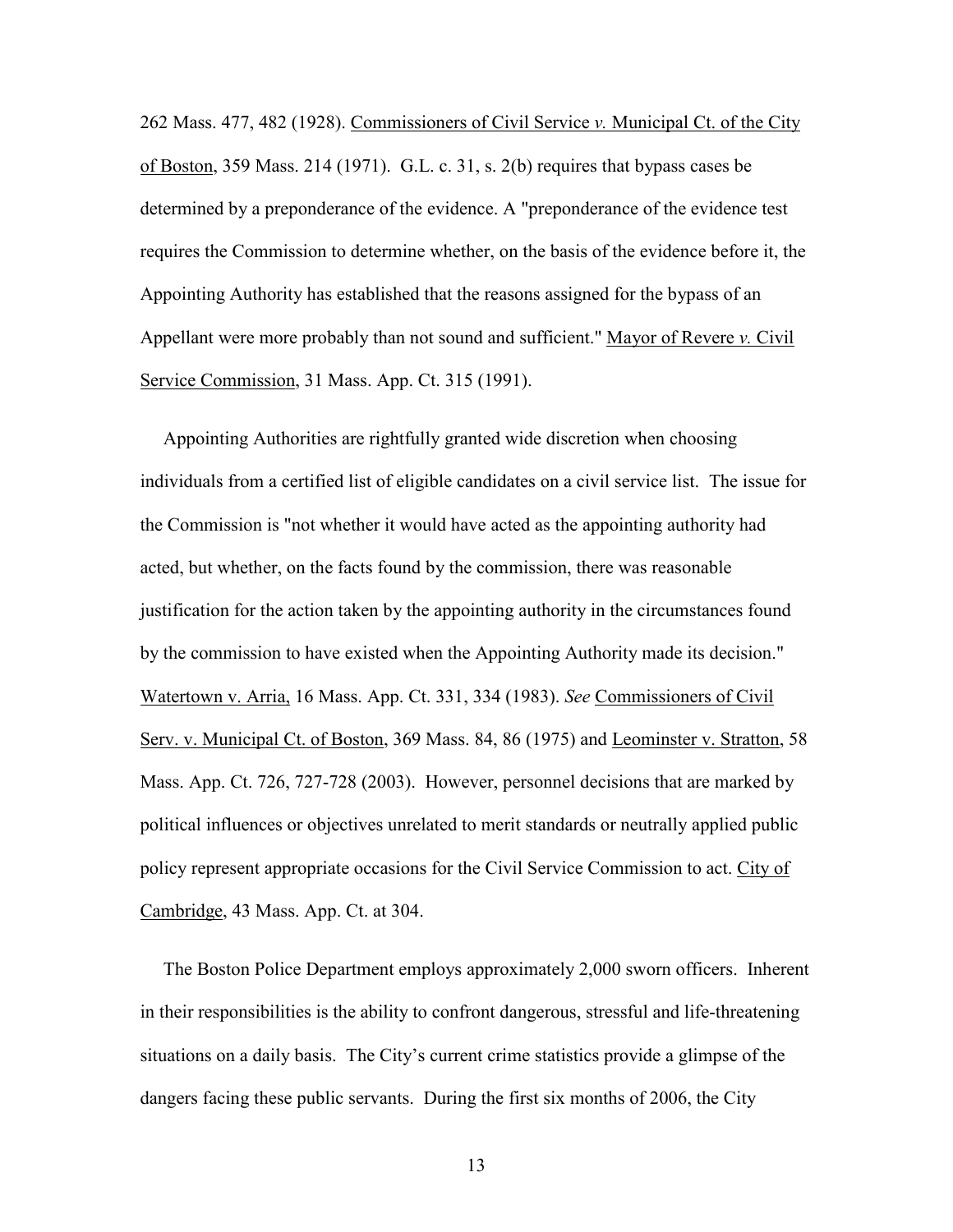262 Mass. 477, 482 (1928). Commissioners of Civil Service v. Municipal Ct. of the City of Boston, 359 Mass. 214 (1971). G.L. c. 31, s. 2(b) requires that bypass cases be determined by a preponderance of the evidence. A "preponderance of the evidence test requires the Commission to determine whether, on the basis of the evidence before it, the Appointing Authority has established that the reasons assigned for the bypass of an Appellant were more probably than not sound and sufficient." Mayor of Revere v. Civil Service Commission, 31 Mass. App. Ct. 315 (1991).

 Appointing Authorities are rightfully granted wide discretion when choosing individuals from a certified list of eligible candidates on a civil service list. The issue for the Commission is "not whether it would have acted as the appointing authority had acted, but whether, on the facts found by the commission, there was reasonable justification for the action taken by the appointing authority in the circumstances found by the commission to have existed when the Appointing Authority made its decision." Watertown v. Arria, 16 Mass. App. Ct. 331, 334 (1983). See Commissioners of Civil Serv. v. Municipal Ct. of Boston, 369 Mass. 84, 86 (1975) and Leominster v. Stratton, 58 Mass. App. Ct. 726, 727-728 (2003). However, personnel decisions that are marked by political influences or objectives unrelated to merit standards or neutrally applied public policy represent appropriate occasions for the Civil Service Commission to act. City of Cambridge, 43 Mass. App. Ct. at 304.

 The Boston Police Department employs approximately 2,000 sworn officers. Inherent in their responsibilities is the ability to confront dangerous, stressful and life-threatening situations on a daily basis. The City's current crime statistics provide a glimpse of the dangers facing these public servants. During the first six months of 2006, the City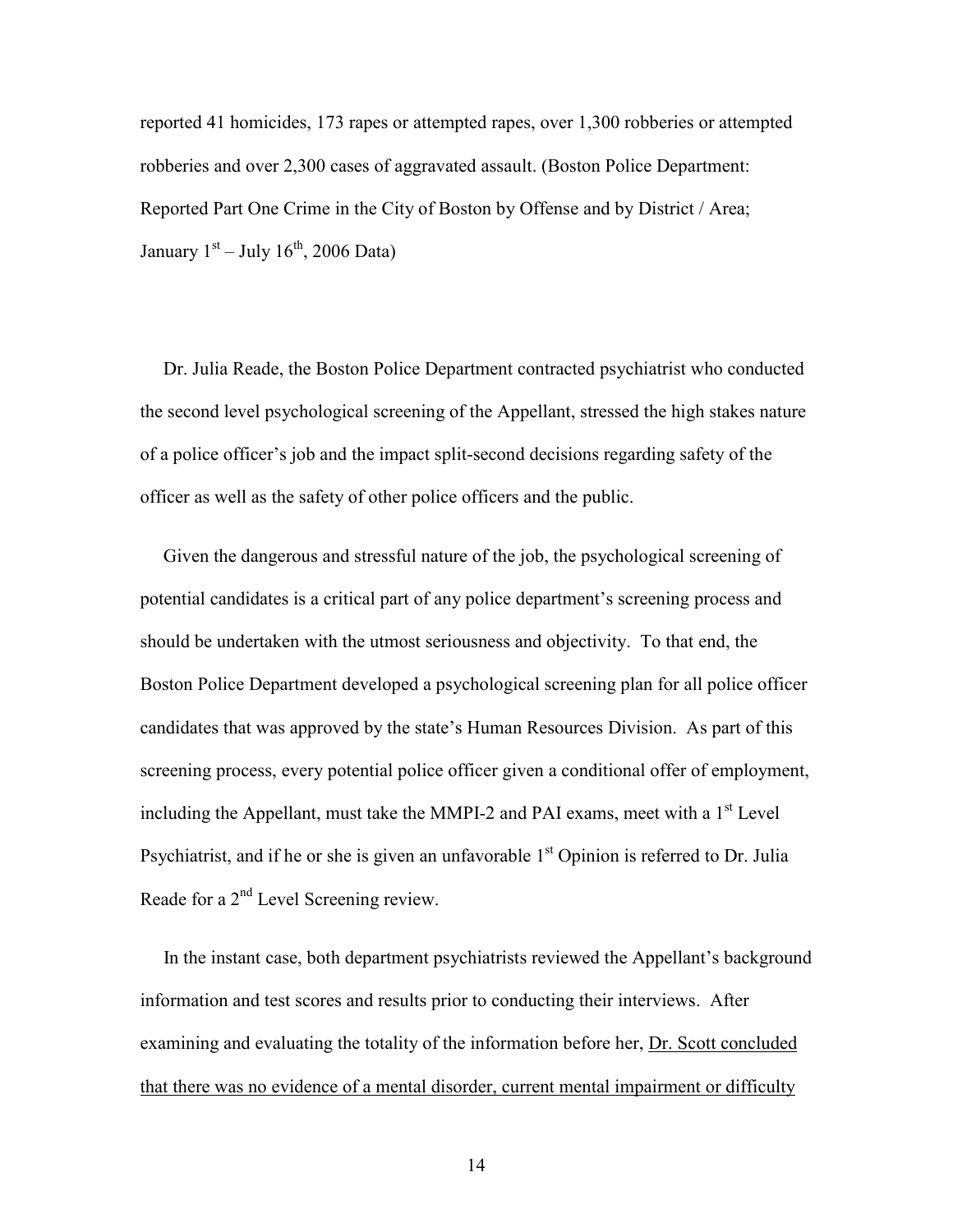reported 41 homicides, 173 rapes or attempted rapes, over 1,300 robberies or attempted robberies and over 2,300 cases of aggravated assault. (Boston Police Department: Reported Part One Crime in the City of Boston by Offense and by District / Area; January  $1<sup>st</sup> - July 16<sup>th</sup>$ , 2006 Data)

 Dr. Julia Reade, the Boston Police Department contracted psychiatrist who conducted the second level psychological screening of the Appellant, stressed the high stakes nature of a police officer's job and the impact split-second decisions regarding safety of the officer as well as the safety of other police officers and the public.

 Given the dangerous and stressful nature of the job, the psychological screening of potential candidates is a critical part of any police department's screening process and should be undertaken with the utmost seriousness and objectivity. To that end, the Boston Police Department developed a psychological screening plan for all police officer candidates that was approved by the state's Human Resources Division. As part of this screening process, every potential police officer given a conditional offer of employment, including the Appellant, must take the MMPI-2 and PAI exams, meet with a  $1<sup>st</sup>$  Level Psychiatrist, and if he or she is given an unfavorable  $1<sup>st</sup>$  Opinion is referred to Dr. Julia Reade for a 2<sup>nd</sup> Level Screening review.

 In the instant case, both department psychiatrists reviewed the Appellant's background information and test scores and results prior to conducting their interviews. After examining and evaluating the totality of the information before her, Dr. Scott concluded that there was no evidence of a mental disorder, current mental impairment or difficulty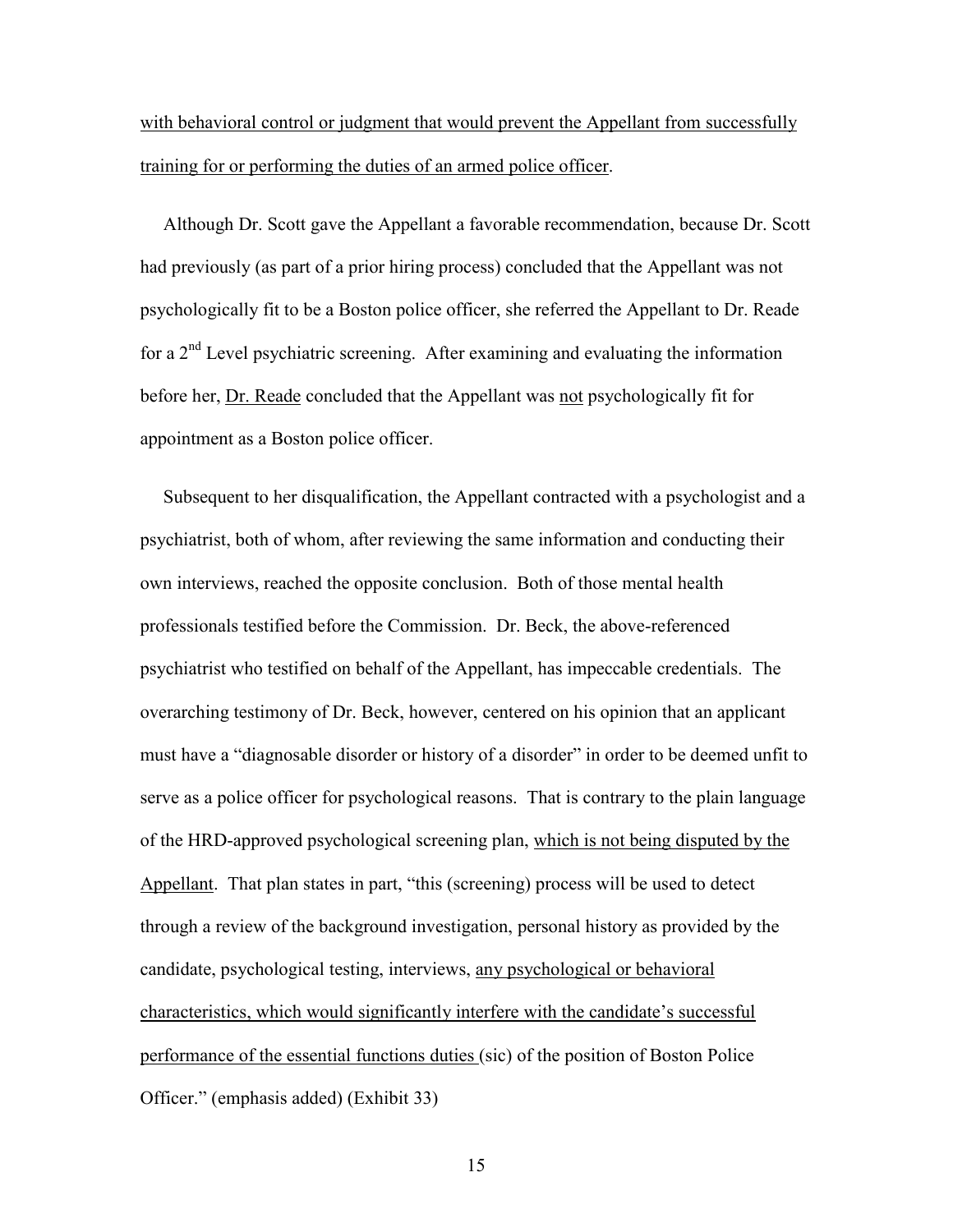with behavioral control or judgment that would prevent the Appellant from successfully training for or performing the duties of an armed police officer.

 Although Dr. Scott gave the Appellant a favorable recommendation, because Dr. Scott had previously (as part of a prior hiring process) concluded that the Appellant was not psychologically fit to be a Boston police officer, she referred the Appellant to Dr. Reade for a 2nd Level psychiatric screening. After examining and evaluating the information before her, Dr. Reade concluded that the Appellant was not psychologically fit for appointment as a Boston police officer.

 Subsequent to her disqualification, the Appellant contracted with a psychologist and a psychiatrist, both of whom, after reviewing the same information and conducting their own interviews, reached the opposite conclusion. Both of those mental health professionals testified before the Commission. Dr. Beck, the above-referenced psychiatrist who testified on behalf of the Appellant, has impeccable credentials. The overarching testimony of Dr. Beck, however, centered on his opinion that an applicant must have a "diagnosable disorder or history of a disorder" in order to be deemed unfit to serve as a police officer for psychological reasons. That is contrary to the plain language of the HRD-approved psychological screening plan, which is not being disputed by the Appellant. That plan states in part, "this (screening) process will be used to detect through a review of the background investigation, personal history as provided by the candidate, psychological testing, interviews, any psychological or behavioral characteristics, which would significantly interfere with the candidate's successful performance of the essential functions duties (sic) of the position of Boston Police Officer." (emphasis added) (Exhibit 33)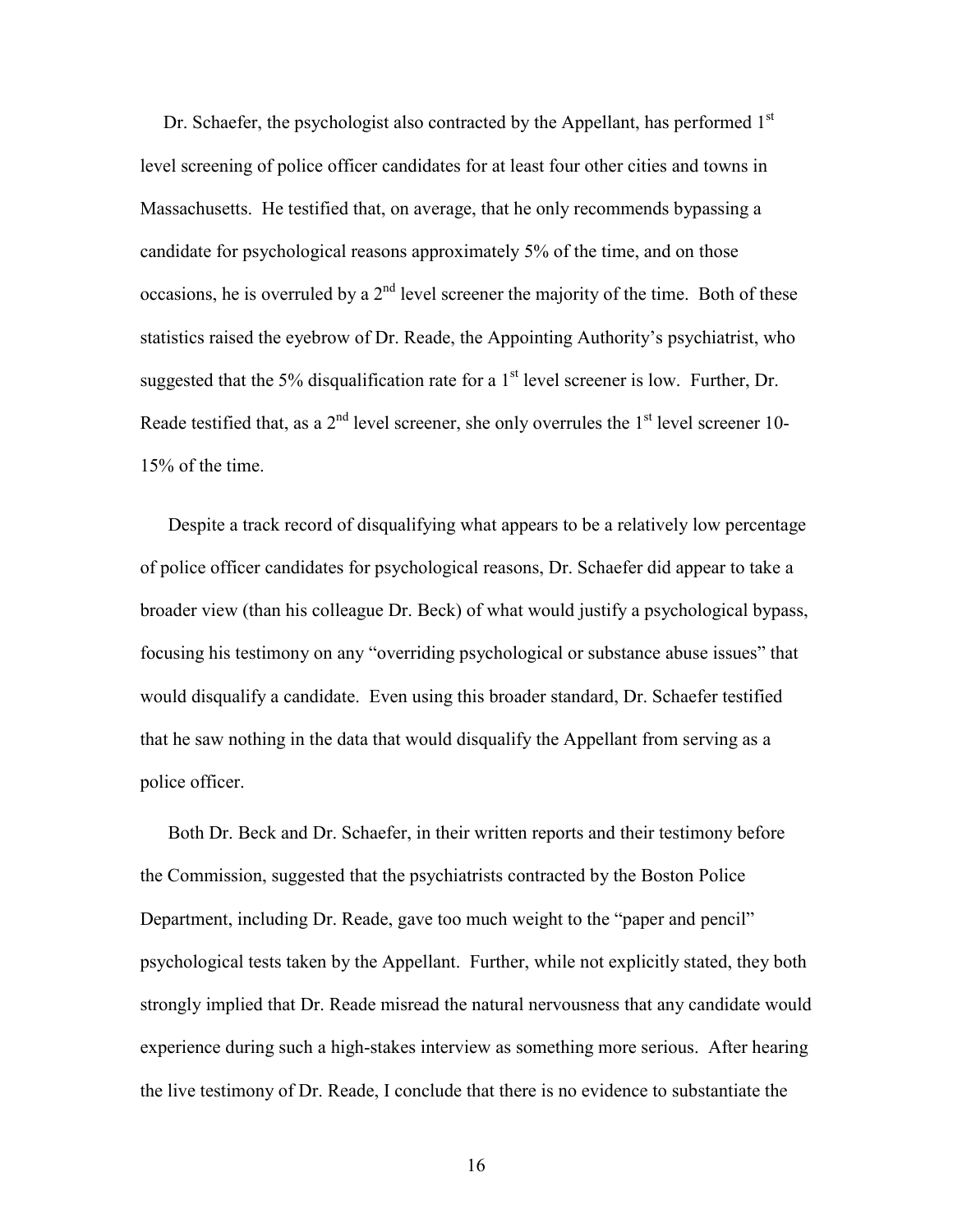Dr. Schaefer, the psychologist also contracted by the Appellant, has performed  $1<sup>st</sup>$ level screening of police officer candidates for at least four other cities and towns in Massachusetts. He testified that, on average, that he only recommends bypassing a candidate for psychological reasons approximately 5% of the time, and on those occasions, he is overruled by a  $2<sup>nd</sup>$  level screener the majority of the time. Both of these statistics raised the eyebrow of Dr. Reade, the Appointing Authority's psychiatrist, who suggested that the 5% disqualification rate for a  $1<sup>st</sup>$  level screener is low. Further, Dr. Reade testified that, as a  $2<sup>nd</sup>$  level screener, she only overrules the  $1<sup>st</sup>$  level screener 10-15% of the time.

 Despite a track record of disqualifying what appears to be a relatively low percentage of police officer candidates for psychological reasons, Dr. Schaefer did appear to take a broader view (than his colleague Dr. Beck) of what would justify a psychological bypass, focusing his testimony on any "overriding psychological or substance abuse issues" that would disqualify a candidate. Even using this broader standard, Dr. Schaefer testified that he saw nothing in the data that would disqualify the Appellant from serving as a police officer.

 Both Dr. Beck and Dr. Schaefer, in their written reports and their testimony before the Commission, suggested that the psychiatrists contracted by the Boston Police Department, including Dr. Reade, gave too much weight to the "paper and pencil" psychological tests taken by the Appellant. Further, while not explicitly stated, they both strongly implied that Dr. Reade misread the natural nervousness that any candidate would experience during such a high-stakes interview as something more serious. After hearing the live testimony of Dr. Reade, I conclude that there is no evidence to substantiate the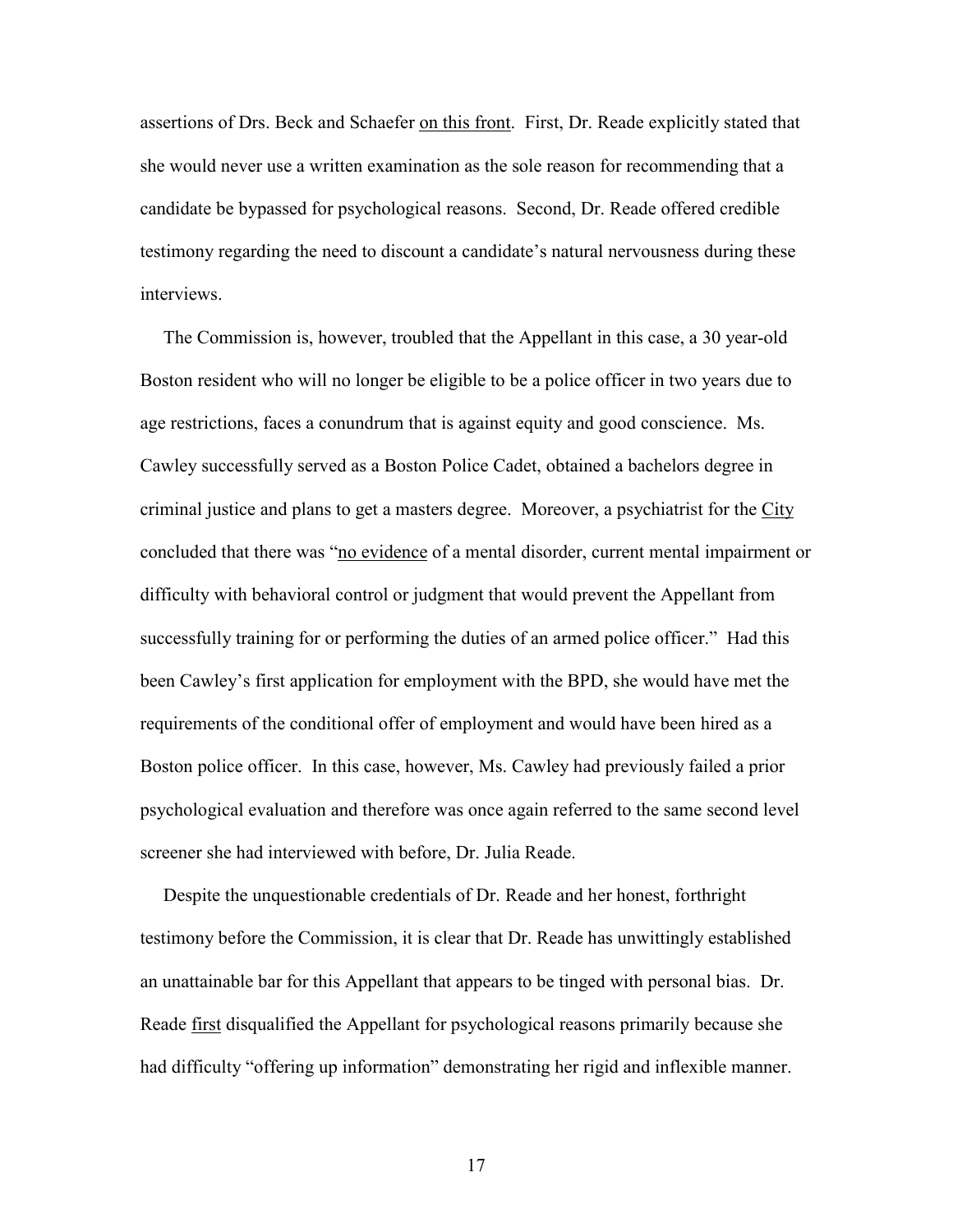assertions of Drs. Beck and Schaefer on this front. First, Dr. Reade explicitly stated that she would never use a written examination as the sole reason for recommending that a candidate be bypassed for psychological reasons. Second, Dr. Reade offered credible testimony regarding the need to discount a candidate's natural nervousness during these interviews.

 The Commission is, however, troubled that the Appellant in this case, a 30 year-old Boston resident who will no longer be eligible to be a police officer in two years due to age restrictions, faces a conundrum that is against equity and good conscience. Ms. Cawley successfully served as a Boston Police Cadet, obtained a bachelors degree in criminal justice and plans to get a masters degree. Moreover, a psychiatrist for the City concluded that there was "no evidence of a mental disorder, current mental impairment or difficulty with behavioral control or judgment that would prevent the Appellant from successfully training for or performing the duties of an armed police officer." Had this been Cawley's first application for employment with the BPD, she would have met the requirements of the conditional offer of employment and would have been hired as a Boston police officer. In this case, however, Ms. Cawley had previously failed a prior psychological evaluation and therefore was once again referred to the same second level screener she had interviewed with before, Dr. Julia Reade.

 Despite the unquestionable credentials of Dr. Reade and her honest, forthright testimony before the Commission, it is clear that Dr. Reade has unwittingly established an unattainable bar for this Appellant that appears to be tinged with personal bias. Dr. Reade first disqualified the Appellant for psychological reasons primarily because she had difficulty "offering up information" demonstrating her rigid and inflexible manner.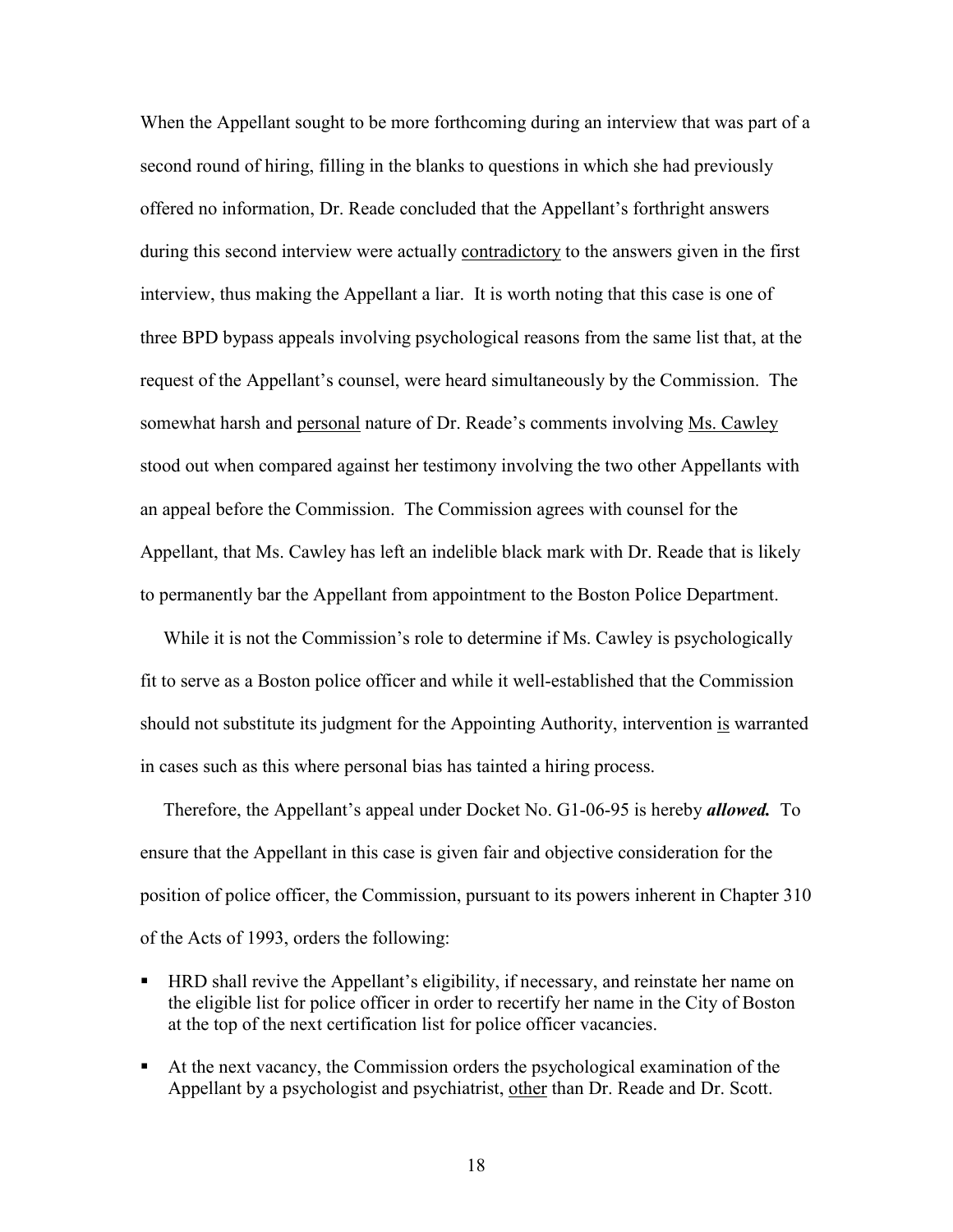When the Appellant sought to be more forthcoming during an interview that was part of a second round of hiring, filling in the blanks to questions in which she had previously offered no information, Dr. Reade concluded that the Appellant's forthright answers during this second interview were actually contradictory to the answers given in the first interview, thus making the Appellant a liar. It is worth noting that this case is one of three BPD bypass appeals involving psychological reasons from the same list that, at the request of the Appellant's counsel, were heard simultaneously by the Commission. The somewhat harsh and personal nature of Dr. Reade's comments involving Ms. Cawley stood out when compared against her testimony involving the two other Appellants with an appeal before the Commission. The Commission agrees with counsel for the Appellant, that Ms. Cawley has left an indelible black mark with Dr. Reade that is likely to permanently bar the Appellant from appointment to the Boston Police Department.

 While it is not the Commission's role to determine if Ms. Cawley is psychologically fit to serve as a Boston police officer and while it well-established that the Commission should not substitute its judgment for the Appointing Authority, intervention is warranted in cases such as this where personal bias has tainted a hiring process.

Therefore, the Appellant's appeal under Docket No. G1-06-95 is hereby *allowed*. To ensure that the Appellant in this case is given fair and objective consideration for the position of police officer, the Commission, pursuant to its powers inherent in Chapter 310 of the Acts of 1993, orders the following:

- HRD shall revive the Appellant's eligibility, if necessary, and reinstate her name on the eligible list for police officer in order to recertify her name in the City of Boston at the top of the next certification list for police officer vacancies.
- At the next vacancy, the Commission orders the psychological examination of the Appellant by a psychologist and psychiatrist, other than Dr. Reade and Dr. Scott.